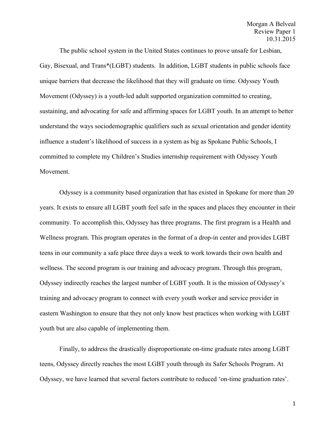The public school system in the United States continues to prove unsafe for Lesbian, Gay, Bisexual, and Trans\*(LGBT) students. In addition, LGBT students in public schools face unique barriers that decrease the likelihood that they will graduate on time. Odyssey Youth Movement (Odyssey) is a youth-led adult supported organization committed to creating, sustaining, and advocating for safe and affirming spaces for LGBT youth. In an attempt to better understand the ways sociodemographic qualifiers such as sexual orientation and gender identity influence a student's likelihood of success in a system as big as Spokane Public Schools, I committed to complete my Children's Studies internship requirement with Odyssey Youth Movement.

Odyssey is a community based organization that has existed in Spokane for more than 20 years. It exists to ensure all LGBT youth feel safe in the spaces and places they encounter in their community. To accomplish this, Odyssey has three programs. The first program is a Health and Wellness program. This program operates in the format of a drop-in center and provides LGBT teens in our community a safe place three days a week to work towards their own health and wellness. The second program is our training and advocacy program. Through this program, Odyssey indirectly reaches the largest number of LGBT youth. It is the mission of Odyssey's training and advocacy program to connect with every youth worker and service provider in eastern Washington to ensure that they not only know best practices when working with LGBT youth but are also capable of implementing them.

Finally, to address the drastically disproportionate on-time graduate rates among LGBT teens, Odyssey directly reaches the most LGBT youth through its Safer Schools Program. At Odyssey, we have learned that several factors contribute to reduced 'on-time graduation rates'.

1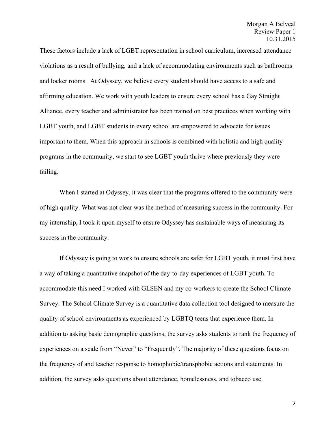These factors include a lack of LGBT representation in school curriculum, increased attendance violations as a result of bullying, and a lack of accommodating environments such as bathrooms and locker rooms. At Odyssey, we believe every student should have access to a safe and affirming education. We work with youth leaders to ensure every school has a Gay Straight Alliance, every teacher and administrator has been trained on best practices when working with LGBT youth, and LGBT students in every school are empowered to advocate for issues important to them. When this approach in schools is combined with holistic and high quality programs in the community, we start to see LGBT youth thrive where previously they were failing.

When I started at Odyssey, it was clear that the programs offered to the community were of high quality. What was not clear was the method of measuring success in the community. For my internship, I took it upon myself to ensure Odyssey has sustainable ways of measuring its success in the community.

If Odyssey is going to work to ensure schools are safer for LGBT youth, it must first have a way of taking a quantitative snapshot of the day-to-day experiences of LGBT youth. To accommodate this need I worked with GLSEN and my co-workers to create the School Climate Survey. The School Climate Survey is a quantitative data collection tool designed to measure the quality of school environments as experienced by LGBTQ teens that experience them. In addition to asking basic demographic questions, the survey asks students to rank the frequency of experiences on a scale from "Never" to "Frequently". The majority of these questions focus on the frequency of and teacher response to homophobic/transphobic actions and statements. In addition, the survey asks questions about attendance, homelessness, and tobacco use.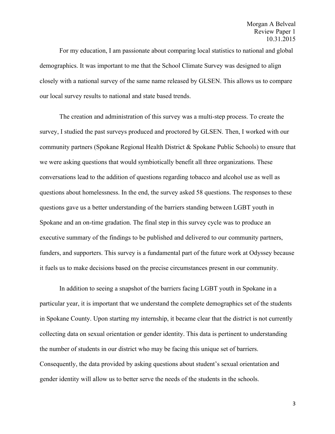For my education, I am passionate about comparing local statistics to national and global demographics. It was important to me that the School Climate Survey was designed to align closely with a national survey of the same name released by GLSEN. This allows us to compare our local survey results to national and state based trends.

The creation and administration of this survey was a multi-step process. To create the survey, I studied the past surveys produced and proctored by GLSEN. Then, I worked with our community partners (Spokane Regional Health District & Spokane Public Schools) to ensure that we were asking questions that would symbiotically benefit all three organizations. These conversations lead to the addition of questions regarding tobacco and alcohol use as well as questions about homelessness. In the end, the survey asked 58 questions. The responses to these questions gave us a better understanding of the barriers standing between LGBT youth in Spokane and an on-time gradation. The final step in this survey cycle was to produce an executive summary of the findings to be published and delivered to our community partners, funders, and supporters. This survey is a fundamental part of the future work at Odyssey because it fuels us to make decisions based on the precise circumstances present in our community.

In addition to seeing a snapshot of the barriers facing LGBT youth in Spokane in a particular year, it is important that we understand the complete demographics set of the students in Spokane County. Upon starting my internship, it became clear that the district is not currently collecting data on sexual orientation or gender identity. This data is pertinent to understanding the number of students in our district who may be facing this unique set of barriers. Consequently, the data provided by asking questions about student's sexual orientation and gender identity will allow us to better serve the needs of the students in the schools.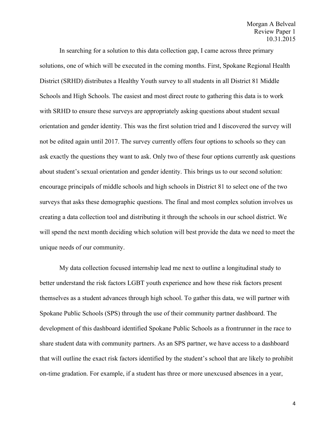## Morgan A Belveal Review Paper 1 10.31.2015

In searching for a solution to this data collection gap, I came across three primary solutions, one of which will be executed in the coming months. First, Spokane Regional Health District (SRHD) distributes a Healthy Youth survey to all students in all District 81 Middle Schools and High Schools. The easiest and most direct route to gathering this data is to work with SRHD to ensure these surveys are appropriately asking questions about student sexual orientation and gender identity. This was the first solution tried and I discovered the survey will not be edited again until 2017. The survey currently offers four options to schools so they can ask exactly the questions they want to ask. Only two of these four options currently ask questions about student's sexual orientation and gender identity. This brings us to our second solution: encourage principals of middle schools and high schools in District 81 to select one of the two surveys that asks these demographic questions. The final and most complex solution involves us creating a data collection tool and distributing it through the schools in our school district. We will spend the next month deciding which solution will best provide the data we need to meet the unique needs of our community.

My data collection focused internship lead me next to outline a longitudinal study to better understand the risk factors LGBT youth experience and how these risk factors present themselves as a student advances through high school. To gather this data, we will partner with Spokane Public Schools (SPS) through the use of their community partner dashboard. The development of this dashboard identified Spokane Public Schools as a frontrunner in the race to share student data with community partners. As an SPS partner, we have access to a dashboard that will outline the exact risk factors identified by the student's school that are likely to prohibit on-time gradation. For example, if a student has three or more unexcused absences in a year,

4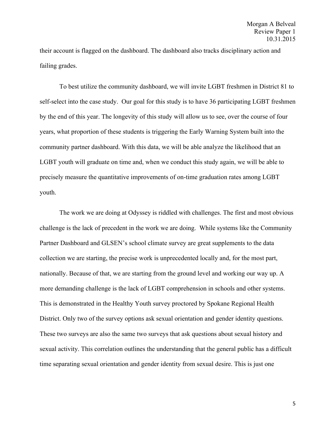their account is flagged on the dashboard. The dashboard also tracks disciplinary action and failing grades.

To best utilize the community dashboard, we will invite LGBT freshmen in District 81 to self-select into the case study. Our goal for this study is to have 36 participating LGBT freshmen by the end of this year. The longevity of this study will allow us to see, over the course of four years, what proportion of these students is triggering the Early Warning System built into the community partner dashboard. With this data, we will be able analyze the likelihood that an LGBT youth will graduate on time and, when we conduct this study again, we will be able to precisely measure the quantitative improvements of on-time graduation rates among LGBT youth.

The work we are doing at Odyssey is riddled with challenges. The first and most obvious challenge is the lack of precedent in the work we are doing. While systems like the Community Partner Dashboard and GLSEN's school climate survey are great supplements to the data collection we are starting, the precise work is unprecedented locally and, for the most part, nationally. Because of that, we are starting from the ground level and working our way up. A more demanding challenge is the lack of LGBT comprehension in schools and other systems. This is demonstrated in the Healthy Youth survey proctored by Spokane Regional Health District. Only two of the survey options ask sexual orientation and gender identity questions. These two surveys are also the same two surveys that ask questions about sexual history and sexual activity. This correlation outlines the understanding that the general public has a difficult time separating sexual orientation and gender identity from sexual desire. This is just one